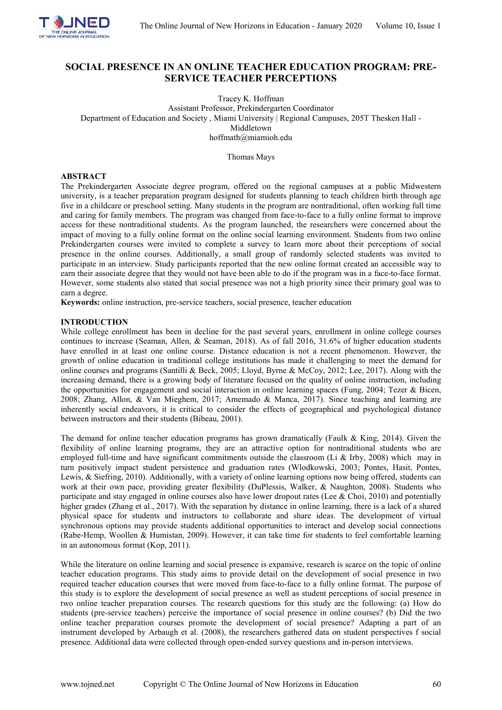

# **SOCIAL PRESENCE IN AN ONLINE TEACHER EDUCATION PROGRAM: PRE-SERVICE TEACHER PERCEPTIONS**

Tracey K. Hoffman

Assistant Professor, Prekindergarten Coordinator Department of Education and Society , Miami University | Regional Campuses, 205T Thesken Hall - Middletown hoffmath@miamioh.edu

Thomas Mays

# **ABSTRACT**

The Prekindergarten Associate degree program, offered on the regional campuses at a public Midwestern university, is a teacher preparation program designed for students planning to teach children birth through age five in a childcare or preschool setting. Many students in the program are nontraditional, often working full time and caring for family members. The program was changed from face-to-face to a fully online format to improve access for these nontraditional students. As the program launched, the researchers were concerned about the impact of moving to a fully online format on the online social learning environment. Students from two online Prekindergarten courses were invited to complete a survey to learn more about their perceptions of social presence in the online courses. Additionally, a small group of randomly selected students was invited to participate in an interview. Study participants reported that the new online format created an accessible way to earn their associate degree that they would not have been able to do if the program was in a face-to-face format. However, some students also stated that social presence was not a high priority since their primary goal was to earn a degree.

**Keywords:** online instruction, pre-service teachers, social presence, teacher education

# **INTRODUCTION**

While college enrollment has been in decline for the past several years, enrollment in online college courses continues to increase (Seaman, Allen, & Seaman, 2018). As of fall 2016, 31.6% of higher education students have enrolled in at least one online course. Distance education is not a recent phenomenon. However, the growth of online education in traditional college institutions has made it challenging to meet the demand for online courses and programs (Santilli & Beck, 2005; Lloyd, Byrne & McCoy, 2012; Lee, 2017). Along with the increasing demand, there is a growing body of literature focused on the quality of online instruction, including the opportunities for engagement and social interaction in online learning spaces (Fung, 2004; Tezer & Bicen, 2008; Zhang, Allon, & Van Mieghem, 2017; Amemado & Manca, 2017). Since teaching and learning are inherently social endeavors, it is critical to consider the effects of geographical and psychological distance between instructors and their students (Bibeau, 2001).

The demand for online teacher education programs has grown dramatically (Faulk & King, 2014). Given the flexibility of online learning programs, they are an attractive option for nontraditional students who are employed full-time and have significant commitments outside the classroom (Li & Irby, 2008) which may in turn positively impact student persistence and graduation rates (Wlodkowski, 2003; Pontes, Hasit, Pontes, Lewis, & Siefring, 2010). Additionally, with a variety of online learning options now being offered, students can work at their own pace, providing greater flexibility (DuPlessis, Walker, & Naughton, 2008). Students who participate and stay engaged in online courses also have lower dropout rates (Lee & Choi, 2010) and potentially higher grades (Zhang et al., 2017). With the separation by distance in online learning, there is a lack of a shared physical space for students and instructors to collaborate and share ideas. The development of virtual synchronous options may provide students additional opportunities to interact and develop social connections (Rabe-Hemp, Woollen & Humistan, 2009). However, it can take time for students to feel comfortable learning in an autonomous format (Kop, 2011).

While the literature on online learning and social presence is expansive, research is scarce on the topic of online teacher education programs. This study aims to provide detail on the development of social presence in two required teacher education courses that were moved from face-to-face to a fully online format. The purpose of this study is to explore the development of social presence as well as student perceptions of social presence in two online teacher preparation courses. The research questions for this study are the following: (a) How do students (pre-service teachers) perceive the importance of social presence in online courses? (b) Did the two online teacher preparation courses promote the development of social presence? Adapting a part of an instrument developed by Arbaugh et al. (2008), the researchers gathered data on student perspectives f social presence. Additional data were collected through open-ended survey questions and in-person interviews.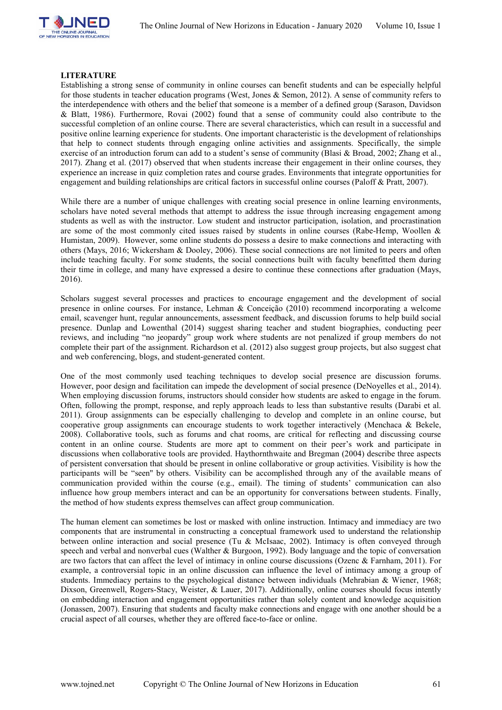

### **LITERATURE**

Establishing a strong sense of community in online courses can benefit students and can be especially helpful for those students in teacher education programs (West, Jones & Semon, 2012). A sense of community refers to the interdependence with others and the belief that someone is a member of a defined group (Sarason, Davidson & Blatt, 1986). Furthermore, Rovai (2002) found that a sense of community could also contribute to the successful completion of an online course. There are several characteristics, which can result in a successful and positive online learning experience for students. One important characteristic is the development of relationships that help to connect students through engaging online activities and assignments. Specifically, the simple exercise of an introduction forum can add to a student's sense of community (Blasi & Broad, 2002; Zhang et al., 2017). Zhang et al. (2017) observed that when students increase their engagement in their online courses, they experience an increase in quiz completion rates and course grades. Environments that integrate opportunities for engagement and building relationships are critical factors in successful online courses (Paloff & Pratt, 2007).

While there are a number of unique challenges with creating social presence in online learning environments, scholars have noted several methods that attempt to address the issue through increasing engagement among students as well as with the instructor. Low student and instructor participation, isolation, and procrastination are some of the most commonly cited issues raised by students in online courses (Rabe-Hemp, Woollen & Humistan, 2009). However, some online students do possess a desire to make connections and interacting with others (Mays, 2016; Wickersham & Dooley, 2006). These social connections are not limited to peers and often include teaching faculty. For some students, the social connections built with faculty benefitted them during their time in college, and many have expressed a desire to continue these connections after graduation (Mays, 2016).

Scholars suggest several processes and practices to encourage engagement and the development of social presence in online courses. For instance, Lehman & Conceição (2010) recommend incorporating a welcome email, scavenger hunt, regular announcements, assessment feedback, and discussion forums to help build social presence. Dunlap and Lowenthal (2014) suggest sharing teacher and student biographies, conducting peer reviews, and including "no jeopardy" group work where students are not penalized if group members do not complete their part of the assignment. Richardson et al. (2012) also suggest group projects, but also suggest chat and web conferencing, blogs, and student-generated content.

One of the most commonly used teaching techniques to develop social presence are discussion forums. However, poor design and facilitation can impede the development of social presence (DeNoyelles et al., 2014). When employing discussion forums, instructors should consider how students are asked to engage in the forum. Often, following the prompt, response, and reply approach leads to less than substantive results (Darabi et al. 2011). Group assignments can be especially challenging to develop and complete in an online course, but cooperative group assignments can encourage students to work together interactively (Menchaca & Bekele, 2008). Collaborative tools, such as forums and chat rooms, are critical for reflecting and discussing course content in an online course. Students are more apt to comment on their peer's work and participate in discussions when collaborative tools are provided. Haythornthwaite and Bregman (2004) describe three aspects of persistent conversation that should be present in online collaborative or group activities. Visibility is how the participants will be "seen'' by others. Visibility can be accomplished through any of the available means of communication provided within the course (e.g., email). The timing of students' communication can also influence how group members interact and can be an opportunity for conversations between students. Finally, the method of how students express themselves can affect group communication.

The human element can sometimes be lost or masked with online instruction. Intimacy and immediacy are two components that are instrumental in constructing a conceptual framework used to understand the relationship between online interaction and social presence (Tu & McIsaac, 2002). Intimacy is often conveyed through speech and verbal and nonverbal cues (Walther & Burgoon, 1992). Body language and the topic of conversation are two factors that can affect the level of intimacy in online course discussions (Ozenc & Farnham, 2011). For example, a controversial topic in an online discussion can influence the level of intimacy among a group of students. Immediacy pertains to the psychological distance between individuals (Mehrabian & Wiener, 1968; Dixson, Greenwell, Rogers-Stacy, Weister, & Lauer, 2017). Additionally, online courses should focus intently on embedding interaction and engagement opportunities rather than solely content and knowledge acquisition (Jonassen, 2007). Ensuring that students and faculty make connections and engage with one another should be a crucial aspect of all courses, whether they are offered face-to-face or online.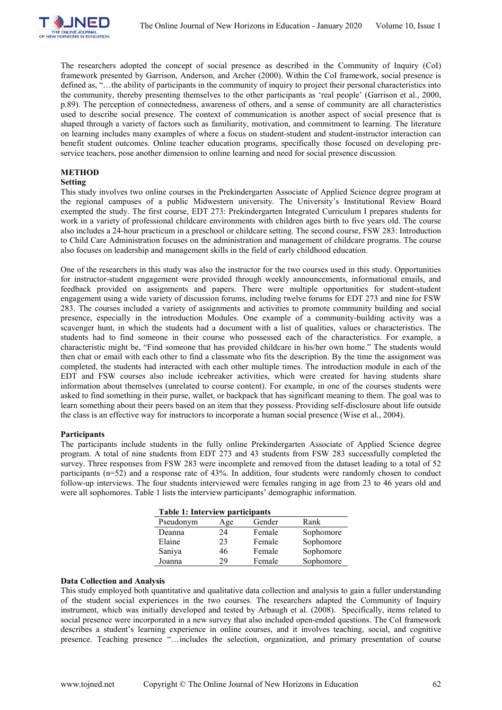

The researchers adopted the concept of social presence as described in the Community of Inquiry (CoI) framework presented by Garrison, Anderson, and Archer (2000). Within the CoI framework, social presence is defined as, "…the ability of participants in the community of inquiry to project their personal characteristics into the community, thereby presenting themselves to the other participants as 'real people' (Garrison et al., 2000, p.89). The perception of connectedness, awareness of others, and a sense of community are all characteristics used to describe social presence. The context of communication is another aspect of social presence that is shaped through a variety of factors such as familiarity, motivation, and commitment to learning. The literature on learning includes many examples of where a focus on student-student and student-instructor interaction can benefit student outcomes. Online teacher education programs, specifically those focused on developing preservice teachers, pose another dimension to online learning and need for social presence discussion.

### **METHOD**

#### **Setting**

This study involves two online courses in the Prekindergarten Associate of Applied Science degree program at the regional campuses of a public Midwestern university. The University's Institutional Review Board exempted the study. The first course, EDT 273: Prekindergarten Integrated Curriculum I prepares students for work in a variety of professional childcare environments with children ages birth to five years old. The course also includes a 24-hour practicum in a preschool or childcare setting. The second course, FSW 283: Introduction to Child Care Administration focuses on the administration and management of childcare programs. The course also focuses on leadership and management skills in the field of early childhood education.

One of the researchers in this study was also the instructor for the two courses used in this study. Opportunities for instructor-student engagement were provided through weekly announcements, informational emails, and feedback provided on assignments and papers. There were multiple opportunities for student-student engagement using a wide variety of discussion forums, including twelve forums for EDT 273 and nine for FSW 283. The courses included a variety of assignments and activities to promote community building and social presence, especially in the introduction Modules. One example of a community-building activity was a scavenger hunt, in which the students had a document with a list of qualities, values or characteristics. The students had to find someone in their course who possessed each of the characteristics. For example, a characteristic might be, "Find someone that has provided childcare in his/her own home." The students would then chat or email with each other to find a classmate who fits the description. By the time the assignment was completed, the students had interacted with each other multiple times. The introduction module in each of the EDT and FSW courses also include icebreaker activities, which were created for having students share information about themselves (unrelated to course content). For example, in one of the courses students were asked to find something in their purse, wallet, or backpack that has significant meaning to them. The goal was to learn something about their peers based on an item that they possess. Providing self-disclosure about life outside the class is an effective way for instructors to incorporate a human social presence (Wise et al., 2004).

# **Participants**

The participants include students in the fully online Prekindergarten Associate of Applied Science degree program. A total of nine students from EDT 273 and 43 students from FSW 283 successfully completed the survey. Three responses from FSW 283 were incomplete and removed from the dataset leading to a total of 52 participants (n=52) and a response rate of 43%. In addition, four students were randomly chosen to conduct follow-up interviews. The four students interviewed were females ranging in age from 23 to 46 years old and were all sophomores. Table 1 lists the interview participants' demographic information.

| <b>Table 1: Interview participants</b> |     |        |           |  |  |  |  |
|----------------------------------------|-----|--------|-----------|--|--|--|--|
| Pseudonym                              | Age | Gender | Rank      |  |  |  |  |
| Deanna                                 | 24  | Female | Sophomore |  |  |  |  |
| Elaine                                 | 23  | Female | Sophomore |  |  |  |  |
| Saniya                                 | 46  | Female | Sophomore |  |  |  |  |
| Joanna                                 | 29  | Female | Sophomore |  |  |  |  |

#### **Data Collection and Analysis**

This study employed both quantitative and qualitative data collection and analysis to gain a fuller understanding of the student social experiences in the two courses. The researchers adapted the Community of Inquiry instrument, which was initially developed and tested by Arbaugh et al. (2008). Specifically, items related to social presence were incorporated in a new survey that also included open-ended questions. The CoI framework describes a student's learning experience in online courses, and it involves teaching, social, and cognitive presence. Teaching presence "…includes the selection, organization, and primary presentation of course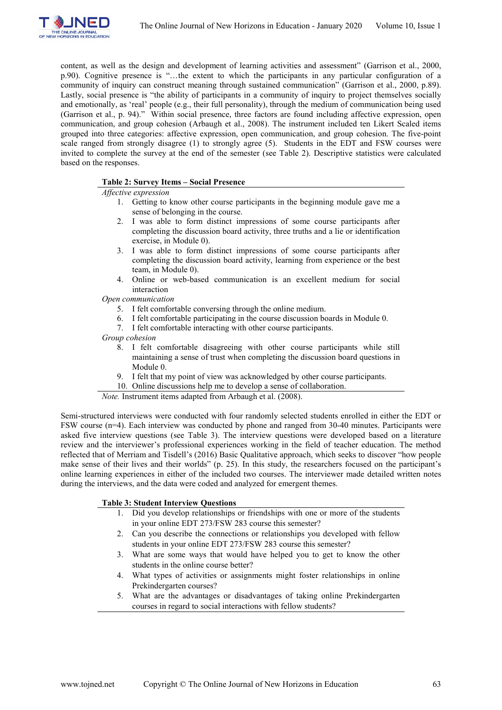

content, as well as the design and development of learning activities and assessment" (Garrison et al., 2000, p.90). Cognitive presence is "…the extent to which the participants in any particular configuration of a community of inquiry can construct meaning through sustained communication" (Garrison et al., 2000, p.89). Lastly, social presence is "the ability of participants in a community of inquiry to project themselves socially and emotionally, as 'real' people (e.g., their full personality), through the medium of communication being used (Garrison et al., p. 94)." Within social presence, three factors are found including affective expression, open communication, and group cohesion (Arbaugh et al., 2008). The instrument included ten Likert Scaled items grouped into three categories: affective expression, open communication, and group cohesion. The five-point scale ranged from strongly disagree (1) to strongly agree (5). Students in the EDT and FSW courses were invited to complete the survey at the end of the semester (see Table 2). Descriptive statistics were calculated based on the responses.

# **Table 2: Survey Items – Social Presence**

### *Affective expression*

- 1. Getting to know other course participants in the beginning module gave me a sense of belonging in the course.
- 2. I was able to form distinct impressions of some course participants after completing the discussion board activity, three truths and a lie or identification exercise, in Module 0).
- 3. I was able to form distinct impressions of some course participants after completing the discussion board activity, learning from experience or the best team, in Module 0).
- 4. Online or web-based communication is an excellent medium for social interaction

*Open communication*

- 5. I felt comfortable conversing through the online medium.
- 6. I felt comfortable participating in the course discussion boards in Module 0.
- 7. I felt comfortable interacting with other course participants.
- *Group cohesion*
	- 8. I felt comfortable disagreeing with other course participants while still maintaining a sense of trust when completing the discussion board questions in Module 0.
	- 9. I felt that my point of view was acknowledged by other course participants.

10. Online discussions help me to develop a sense of collaboration.

*Note.* Instrument items adapted from Arbaugh et al. (2008).

Semi-structured interviews were conducted with four randomly selected students enrolled in either the EDT or FSW course (n=4). Each interview was conducted by phone and ranged from 30-40 minutes. Participants were asked five interview questions (see Table 3). The interview questions were developed based on a literature review and the interviewer's professional experiences working in the field of teacher education. The method reflected that of Merriam and Tisdell's (2016) Basic Qualitative approach, which seeks to discover "how people make sense of their lives and their worlds" (p. 25). In this study, the researchers focused on the participant's online learning experiences in either of the included two courses. The interviewer made detailed written notes during the interviews, and the data were coded and analyzed for emergent themes.

# **Table 3: Student Interview Questions**

- 1. Did you develop relationships or friendships with one or more of the students in your online EDT 273/FSW 283 course this semester?
- 2. Can you describe the connections or relationships you developed with fellow students in your online EDT 273/FSW 283 course this semester?
- 3. What are some ways that would have helped you to get to know the other students in the online course better?
- 4. What types of activities or assignments might foster relationships in online Prekindergarten courses?
- 5. What are the advantages or disadvantages of taking online Prekindergarten courses in regard to social interactions with fellow students?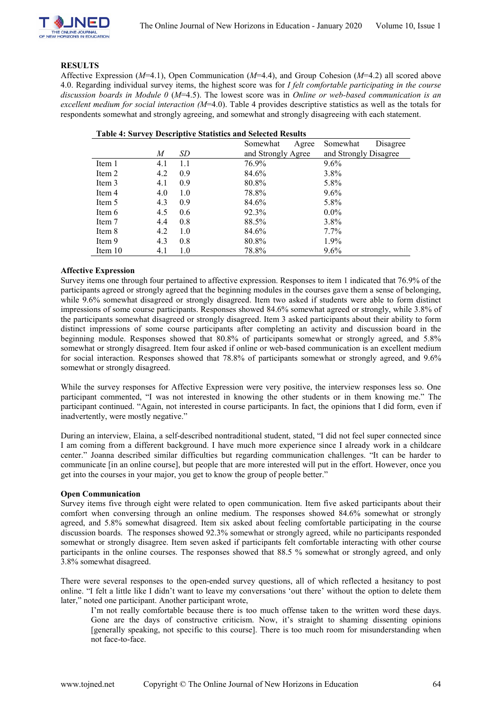

### **RESULTS**

Affective Expression (*M*=4.1), Open Communication (*M*=4.4), and Group Cohesion (*M*=4.2) all scored above 4.0. Regarding individual survey items, the highest score was for *I felt comfortable participating in the course discussion boards in Module 0* (*M*=4.5). The lowest score was in *Online or web-based communication is an excellent medium for social interaction (M*=4.0). Table 4 provides descriptive statistics as well as the totals for respondents somewhat and strongly agreeing, and somewhat and strongly disagreeing with each statement.

| Table 1. But ref Descriptive Buildung and Belected Results |     |     |          |                    |          |                       |  |
|------------------------------------------------------------|-----|-----|----------|--------------------|----------|-----------------------|--|
|                                                            |     |     | Somewhat | Agree              | Somewhat | Disagree              |  |
|                                                            | M   | SD  |          | and Strongly Agree |          | and Strongly Disagree |  |
| Item 1                                                     | 4.1 | 1.1 | 76.9%    |                    | $9.6\%$  |                       |  |
| Item 2                                                     | 4.2 | 0.9 | 84.6%    |                    | 3.8%     |                       |  |
| Item 3                                                     | 4.1 | 0.9 | 80.8%    |                    | 5.8%     |                       |  |
| Item 4                                                     | 4.0 | 1.0 | 78.8%    |                    | $9.6\%$  |                       |  |
| Item 5                                                     | 4.3 | 0.9 | 84.6%    |                    | 5.8%     |                       |  |
| Item 6                                                     | 4.5 | 0.6 | 92.3%    |                    | $0.0\%$  |                       |  |
| Item 7                                                     | 4.4 | 0.8 | 88.5%    |                    | 3.8%     |                       |  |
| Item 8                                                     | 4.2 | 1.0 | 84.6%    |                    | $7.7\%$  |                       |  |
| Item 9                                                     | 4.3 | 0.8 | 80.8%    |                    | 1.9%     |                       |  |
| Item 10                                                    | 4.1 | 1.0 | 78.8%    |                    | $9.6\%$  |                       |  |

# **Table 4: Survey Descriptive Statistics and Selected Results**

### **Affective Expression**

Survey items one through four pertained to affective expression. Responses to item 1 indicated that 76.9% of the participants agreed or strongly agreed that the beginning modules in the courses gave them a sense of belonging, while 9.6% somewhat disagreed or strongly disagreed. Item two asked if students were able to form distinct impressions of some course participants. Responses showed 84.6% somewhat agreed or strongly, while 3.8% of the participants somewhat disagreed or strongly disagreed. Item 3 asked participants about their ability to form distinct impressions of some course participants after completing an activity and discussion board in the beginning module. Responses showed that 80.8% of participants somewhat or strongly agreed, and 5.8% somewhat or strongly disagreed. Item four asked if online or web-based communication is an excellent medium for social interaction. Responses showed that 78.8% of participants somewhat or strongly agreed, and 9.6% somewhat or strongly disagreed.

While the survey responses for Affective Expression were very positive, the interview responses less so. One participant commented, "I was not interested in knowing the other students or in them knowing me." The participant continued. "Again, not interested in course participants. In fact, the opinions that I did form, even if inadvertently, were mostly negative."

During an interview, Elaina, a self-described nontraditional student, stated, "I did not feel super connected since I am coming from a different background. I have much more experience since I already work in a childcare center." Joanna described similar difficulties but regarding communication challenges. "It can be harder to communicate [in an online course], but people that are more interested will put in the effort. However, once you get into the courses in your major, you get to know the group of people better."

#### **Open Communication**

Survey items five through eight were related to open communication. Item five asked participants about their comfort when conversing through an online medium. The responses showed 84.6% somewhat or strongly agreed, and 5.8% somewhat disagreed. Item six asked about feeling comfortable participating in the course discussion boards. The responses showed 92.3% somewhat or strongly agreed, while no participants responded somewhat or strongly disagree. Item seven asked if participants felt comfortable interacting with other course participants in the online courses. The responses showed that 88.5 % somewhat or strongly agreed, and only 3.8% somewhat disagreed.

There were several responses to the open-ended survey questions, all of which reflected a hesitancy to post online. "I felt a little like I didn't want to leave my conversations 'out there' without the option to delete them later," noted one participant. Another participant wrote,

I'm not really comfortable because there is too much offense taken to the written word these days. Gone are the days of constructive criticism. Now, it's straight to shaming dissenting opinions [generally speaking, not specific to this course]. There is too much room for misunderstanding when not face-to-face.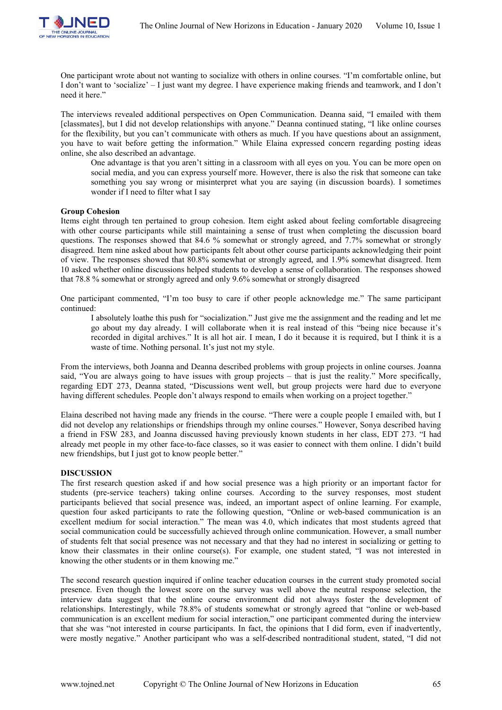

One participant wrote about not wanting to socialize with others in online courses. "I'm comfortable online, but I don't want to 'socialize' – I just want my degree. I have experience making friends and teamwork, and I don't need it here."

The interviews revealed additional perspectives on Open Communication. Deanna said, "I emailed with them [classmates], but I did not develop relationships with anyone." Deanna continued stating, "I like online courses for the flexibility, but you can't communicate with others as much. If you have questions about an assignment, you have to wait before getting the information." While Elaina expressed concern regarding posting ideas online, she also described an advantage.

One advantage is that you aren't sitting in a classroom with all eyes on you. You can be more open on social media, and you can express yourself more. However, there is also the risk that someone can take something you say wrong or misinterpret what you are saying (in discussion boards). I sometimes wonder if I need to filter what I say

### **Group Cohesion**

Items eight through ten pertained to group cohesion. Item eight asked about feeling comfortable disagreeing with other course participants while still maintaining a sense of trust when completing the discussion board questions. The responses showed that 84.6 % somewhat or strongly agreed, and 7.7% somewhat or strongly disagreed. Item nine asked about how participants felt about other course participants acknowledging their point of view. The responses showed that 80.8% somewhat or strongly agreed, and 1.9% somewhat disagreed. Item 10 asked whether online discussions helped students to develop a sense of collaboration. The responses showed that 78.8 % somewhat or strongly agreed and only 9.6% somewhat or strongly disagreed

One participant commented, "I'm too busy to care if other people acknowledge me." The same participant continued:

I absolutely loathe this push for "socialization." Just give me the assignment and the reading and let me go about my day already. I will collaborate when it is real instead of this "being nice because it's recorded in digital archives." It is all hot air. I mean, I do it because it is required, but I think it is a waste of time. Nothing personal. It's just not my style.

From the interviews, both Joanna and Deanna described problems with group projects in online courses. Joanna said, "You are always going to have issues with group projects – that is just the reality." More specifically, regarding EDT 273, Deanna stated, "Discussions went well, but group projects were hard due to everyone having different schedules. People don't always respond to emails when working on a project together."

Elaina described not having made any friends in the course. "There were a couple people I emailed with, but I did not develop any relationships or friendships through my online courses." However, Sonya described having a friend in FSW 283, and Joanna discussed having previously known students in her class, EDT 273. "I had already met people in my other face-to-face classes, so it was easier to connect with them online. I didn't build new friendships, but I just got to know people better."

#### **DISCUSSION**

The first research question asked if and how social presence was a high priority or an important factor for students (pre-service teachers) taking online courses. According to the survey responses, most student participants believed that social presence was, indeed, an important aspect of online learning. For example, question four asked participants to rate the following question, "Online or web-based communication is an excellent medium for social interaction." The mean was 4.0, which indicates that most students agreed that social communication could be successfully achieved through online communication. However, a small number of students felt that social presence was not necessary and that they had no interest in socializing or getting to know their classmates in their online course(s). For example, one student stated, "I was not interested in knowing the other students or in them knowing me."

The second research question inquired if online teacher education courses in the current study promoted social presence. Even though the lowest score on the survey was well above the neutral response selection, the interview data suggest that the online course environment did not always foster the development of relationships. Interestingly, while 78.8% of students somewhat or strongly agreed that "online or web-based communication is an excellent medium for social interaction," one participant commented during the interview that she was "not interested in course participants. In fact, the opinions that I did form, even if inadvertently, were mostly negative." Another participant who was a self-described nontraditional student, stated, "I did not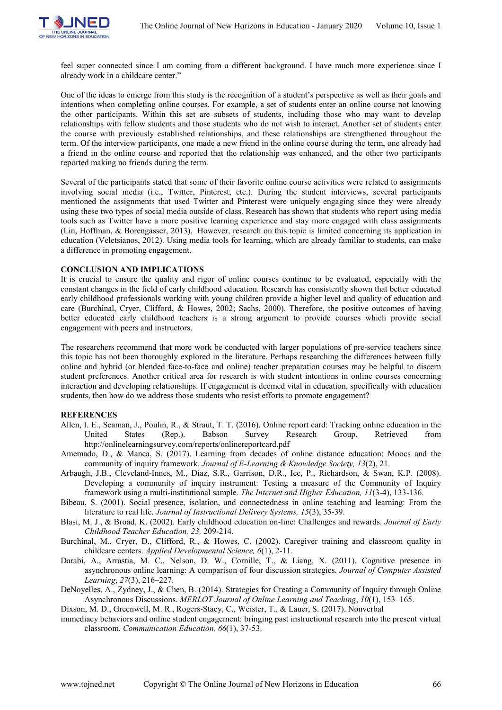

feel super connected since I am coming from a different background. I have much more experience since I already work in a childcare center."

One of the ideas to emerge from this study is the recognition of a student's perspective as well as their goals and intentions when completing online courses. For example, a set of students enter an online course not knowing the other participants. Within this set are subsets of students, including those who may want to develop relationships with fellow students and those students who do not wish to interact. Another set of students enter the course with previously established relationships, and these relationships are strengthened throughout the term. Of the interview participants, one made a new friend in the online course during the term, one already had a friend in the online course and reported that the relationship was enhanced, and the other two participants reported making no friends during the term.

Several of the participants stated that some of their favorite online course activities were related to assignments involving social media (i.e., Twitter, Pinterest, etc.). During the student interviews, several participants mentioned the assignments that used Twitter and Pinterest were uniquely engaging since they were already using these two types of social media outside of class. Research has shown that students who report using media tools such as Twitter have a more positive learning experience and stay more engaged with class assignments (Lin, Hoffman, & Borengasser, 2013). However, research on this topic is limited concerning its application in education (Veletsianos, 2012). Using media tools for learning, which are already familiar to students, can make a difference in promoting engagement.

### **CONCLUSION AND IMPLICATIONS**

It is crucial to ensure the quality and rigor of online courses continue to be evaluated, especially with the constant changes in the field of early childhood education. Research has consistently shown that better educated early childhood professionals working with young children provide a higher level and quality of education and care (Burchinal, Cryer, Clifford, & Howes, 2002; Sachs, 2000). Therefore, the positive outcomes of having better educated early childhood teachers is a strong argument to provide courses which provide social engagement with peers and instructors.

The researchers recommend that more work be conducted with larger populations of pre-service teachers since this topic has not been thoroughly explored in the literature. Perhaps researching the differences between fully online and hybrid (or blended face-to-face and online) teacher preparation courses may be helpful to discern student preferences. Another critical area for research is with student intentions in online courses concerning interaction and developing relationships. If engagement is deemed vital in education, specifically with education students, then how do we address those students who resist efforts to promote engagement?

#### **REFERENCES**

- Allen, I. E., Seaman, J., Poulin, R., & Straut, T. T. (2016). Online report card: Tracking online education in the United States (Rep.). Babson Survey Research Group. Retrieved from http://onlinelearningsurvey.com/reports/onlinereportcard.pdf
- Amemado, D., & Manca, S. (2017). Learning from decades of online distance education: Moocs and the community of inquiry framework. *Journal of E-Learning & Knowledge Society, 13*(2), 21.
- Arbaugh, J.B., Cleveland-Innes, M., Diaz, S.R., Garrison, D.R., Ice, P., Richardson, & Swan, K.P. (2008). Developing a community of inquiry instrument: Testing a measure of the Community of Inquiry framework using a multi-institutional sample. *The Internet and Higher Education, 11*(3-4), 133-136.
- Bibeau, S. (2001). Social presence, isolation, and connectedness in online teaching and learning: From the literature to real life. *Journal of Instructional Delivery Systems, 15*(3), 35-39.
- Blasi, M. J., & Broad, K. (2002). Early childhood education on-line: Challenges and rewards. *Journal of Early Childhood Teacher Education, 23,* 209-214.
- Burchinal, M., Cryer, D., Clifford, R., & Howes, C. (2002). Caregiver training and classroom quality in childcare centers. *Applied Developmental Science, 6*(1), 2-11.
- Darabi, A., Arrastia, M. C., Nelson, D. W., Cornille, T., & Liang, X. (2011). Cognitive presence in asynchronous online learning: A comparison of four discussion strategies. *Journal of Computer Assisted Learning*, *27*(3), 216–227.
- DeNoyelles, A., Zydney, J., & Chen, B. (2014). Strategies for Creating a Community of Inquiry through Online Asynchronous Discussions. *MERLOT Journal of Online Learning and Teaching*, *10*(1), 153–165.
- Dixson, M. D., Greenwell, M. R., Rogers-Stacy, C., Weister, T., & Lauer, S. (2017). Nonverbal
- immediacy behaviors and online student engagement: bringing past instructional research into the present virtual classroom. *Communication Education, 66*(1), 37-53.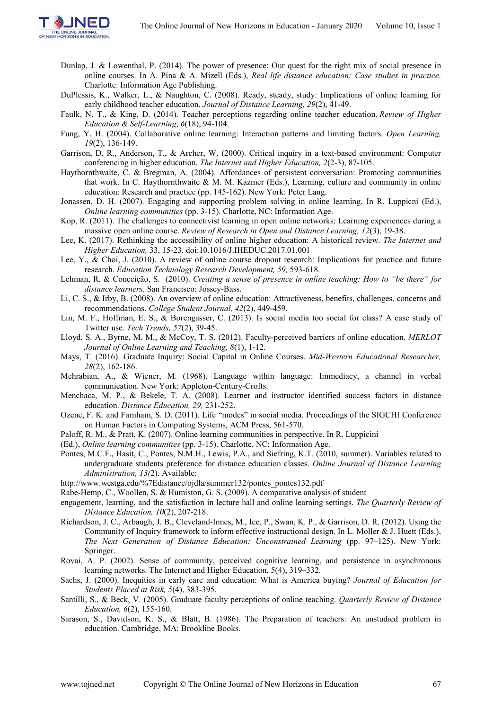

- Dunlap, J. & Lowenthal, P. (2014). The power of presence: Our quest for the right mix of social presence in online courses. In A. Pina & A. Mizell (Eds.), *Real life distance education: Case studies in practice*. Charlotte: Information Age Publishing.
- DuPlessis, K., Walker, L., & Naughton, C. (2008). Ready, steady, study: Implications of online learning for early childhood teacher education. *Journal of Distance Learning, 29*(2), 41-49.
- Faulk, N. T., & King, D. (2014). Teacher perceptions regarding online teacher education. *Review of Higher Education & Self-Learning*, *6*(18), 94-104.
- Fung, Y. H. (2004). Collaborative online learning: Interaction patterns and limiting factors. *Open Learning, 19*(2), 136-149.
- Garrison, D. R., Anderson, T., & Archer, W. (2000). Critical inquiry in a text-based environment: Computer conferencing in higher education. *The Internet and Higher Education, 2*(2-3), 87-105.
- Haythornthwaite, C. & Bregman, A. (2004). Affordances of persistent conversation: Promoting communities that work. In C. Haythornthwaite & M. M. Kazmer (Eds.), Learning, culture and community in online education: Research and practice (pp. 145-162). New York: Peter Lang.
- Jonassen, D. H. (2007). Engaging and supporting problem solving in online learning. In R. Luppicni (Ed.), *Online learning communities* (pp. 3-15). Charlotte, NC: Information Age.
- Kop, R. (2011). The challenges to connectivist learning in open online networks: Learning experiences during a massive open online course. *Review of Research in Open and Distance Learning, 12*(3), 19-38.
- Lee, K. (2017). Rethinking the accessibility of online higher education: A historical review. *The Internet and Higher Education,* 33, 15-23. doi:10.1016/J.IHEDUC.2017.01.001
- Lee, Y., & Choi, J. (2010). A review of online course dropout research: Implications for practice and future research. *Education Technology Research Development, 59,* 593-618.
- Lehman, R. & Conceição, S. (2010). *Creating a sense of presence in online teaching: How to "be there" for distance learners.* San Francisco: Jossey-Bass.
- Li, C. S., & Irby, B. (2008). An overview of online education: Attractiveness, benefits, challenges, concerns and recommendations. *College Student Journal, 42*(2), 449-459.
- Lin, M. F., Hoffman, E. S., & Borengasser, C. (2013). Is social media too social for class? A case study of Twitter use. *Tech Trends, 57*(2), 39-45.
- Lloyd, S. A., Byrne, M. M., & McCoy, T. S. (2012). Faculty-perceived barriers of online education. *MERLOT Journal of Online Learning and Teaching, 8*(1), 1-12.
- Mays, T. (2016). Graduate Inquiry: Social Capital in Online Courses. *Mid-Western Educational Researcher, 28*(2), 162-186.
- Mehrabian, A., & Wiener, M. (1968). Language within language: Immediacy, a channel in verbal communication. New York: Appleton-Century-Crofts.
- Menchaca, M. P., & Bekele, T. A. (2008). Learner and instructor identified success factors in distance education. *Distance Education, 29,* 231-252.
- Ozenc, F. K. and Farnham, S. D. (2011). Life "modes" in social media. Proceedings of the SIGCHI Conference on Human Factors in Computing Systems, ACM Press, 561-570.
- Paloff, R. M., & Pratt, K. (2007). Online learning communities in perspective. In R. Luppicini
- (Ed.), *Online learning communities* (pp. 3-15). Charlotte, NC: Information Age.
- Pontes, M.C.F., Hasit, C., Pontes, N.M.H., Lewis, P.A., and Siefring, K.T. (2010, summer). Variables related to undergraduate students preference for distance education classes. *Online Journal of Distance Learning Administration, 13(*2). Available:
- http://www.westga.edu/%7Edistance/ojdla/summer132/pontes\_pontes132.pdf
- Rabe-Hemp, C., Woollen, S. & Humiston, G. S. (2009). A comparative analysis of student
- engagement, learning, and the satisfaction in lecture hall and online learning settings. *The Quarterly Review of Distance Education, 10*(2), 207-218.
- Richardson, J. C., Arbaugh, J. B., Cleveland-Innes, M., Ice, P., Swan, K. P., & Garrison, D. R. (2012). Using the Community of Inquiry framework to inform effective instructional design. In L. Moller & J. Huett (Eds.), *The Next Generation of Distance Education: Unconstrained Learning* (pp. 97–125). New York: Springer.
- Rovai, A. P. (2002). Sense of community, perceived cognitive learning, and persistence in asynchronous learning networks. The Internet and Higher Education, 5(4), 319–332.
- Sachs, J. (2000). Inequities in early care and education: What is America buying? *Journal of Education for Students Placed at Risk, 5*(4), 383-395.
- Santilli, S., & Beck, V. (2005). Graduate faculty perceptions of online teaching. *Quarterly Review of Distance Education, 6*(2), 155-160.
- Sarason, S., Davidson, K. S., & Blatt, B. (1986). The Preparation of teachers: An unstudied problem in education. Cambridge, MA: Brookline Books.